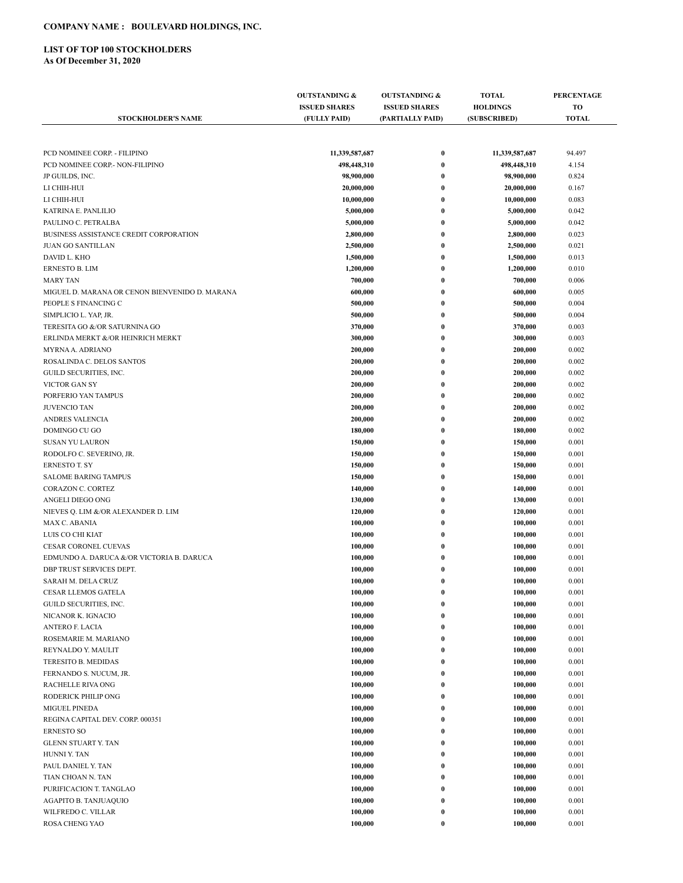## **COMPANY NAME : BOULEVARD HOLDINGS, INC.**

## **LIST OF TOP 100 STOCKHOLDERS**

**As Of December 31, 2020**

|                                                | <b>OUTSTANDING &amp;</b> | <b>OUTSTANDING &amp;</b> | <b>TOTAL</b>    | <b>PERCENTAGE</b> |
|------------------------------------------------|--------------------------|--------------------------|-----------------|-------------------|
|                                                | <b>ISSUED SHARES</b>     | <b>ISSUED SHARES</b>     | <b>HOLDINGS</b> | <b>TO</b>         |
| <b>STOCKHOLDER'S NAME</b>                      | (FULLY PAID)             | (PARTIALLY PAID)         | (SUBSCRIBED)    | <b>TOTAL</b>      |
|                                                |                          |                          |                 |                   |
|                                                |                          |                          |                 |                   |
| PCD NOMINEE CORP. - FILIPINO                   | 11,339,587,687           | $\bf{0}$                 | 11,339,587,687  | 94.497            |
| PCD NOMINEE CORP.- NON-FILIPINO                | 498,448,310              | $\bf{0}$                 | 498,448,310     | 4.154             |
| JP GUILDS, INC.                                | 98,900,000               | $\bf{0}$                 | 98,900,000      | 0.824             |
| LI CHIH-HUI                                    | 20,000,000               | $\bf{0}$                 | 20,000,000      | 0.167             |
| LI CHIH-HUI                                    | 10,000,000               | $\bf{0}$                 | 10,000,000      | 0.083             |
| KATRINA E. PANLILIO                            | 5,000,000                | $\bf{0}$                 | 5,000,000       | 0.042             |
| PAULINO C. PETRALBA                            | 5,000,000                | $\bf{0}$                 | 5,000,000       | 0.042             |
| BUSINESS ASSISTANCE CREDIT CORPORATION         | 2,800,000                | $\bf{0}$                 | 2,800,000       | 0.023             |
| <b>JUAN GO SANTILLAN</b>                       | 2,500,000                | $\bf{0}$                 | 2,500,000       | 0.021             |
| DAVID L. KHO                                   | 1,500,000                | $\bf{0}$                 | 1,500,000       | 0.013             |
| <b>ERNESTO B. LIM</b>                          | 1,200,000                | $\bf{0}$                 | 1,200,000       | 0.010             |
| <b>MARY TAN</b>                                | 700,000                  | $\bf{0}$                 | 700,000         | 0.006             |
| MIGUEL D. MARANA OR CENON BIENVENIDO D. MARANA | 600,000                  | $\bf{0}$                 | 600,000         | 0.005             |
| PEOPLE S FINANCING C                           | 500,000                  | $\bf{0}$                 | 500,000         | 0.004             |
| SIMPLICIO L. YAP, JR.                          | 500,000                  | $\bf{0}$                 | 500,000         | 0.004             |
| TERESITA GO &/OR SATURNINA GO                  | 370,000                  | $\bf{0}$                 | 370,000         | 0.003             |
| ERLINDA MERKT &/OR HEINRICH MERKT              | 300,000                  | $\bf{0}$                 | 300,000         | 0.003             |
| MYRNA A. ADRIANO                               | 200,000                  | $\bf{0}$                 | 200,000         | 0.002             |
| ROSALINDA C. DELOS SANTOS                      | 200,000                  | $\bf{0}$                 | 200,000         | 0.002             |
| GUILD SECURITIES, INC.                         | 200,000                  | $\bf{0}$                 | 200,000         | 0.002             |
| <b>VICTOR GAN SY</b>                           | 200,000                  | $\bf{0}$                 | 200,000         | 0.002             |
| PORFERIO YAN TAMPUS                            | 200,000                  | $\bf{0}$                 | 200,000         | 0.002             |
| <b>JUVENCIO TAN</b>                            | 200,000                  | $\bf{0}$                 | 200,000         | 0.002             |
| ANDRES VALENCIA                                | 200,000                  | $\bf{0}$                 | 200,000         | 0.002             |
| DOMINGO CU GO                                  | 180,000                  | $\bf{0}$                 | 180,000         | 0.002             |
| <b>SUSAN YU LAURON</b>                         | 150,000                  | $\bf{0}$                 | 150,000         | 0.001             |
| RODOLFO C. SEVERINO, JR.                       | 150,000                  | $\bf{0}$                 | 150,000         | 0.001             |
| <b>ERNESTO T. SY</b>                           | 150,000                  | $\bf{0}$                 | 150,000         | 0.001             |
| <b>SALOME BARING TAMPUS</b>                    | 150,000                  | $\bf{0}$                 | 150,000         | 0.001             |
| CORAZON C. CORTEZ                              | 140,000                  | $\bf{0}$                 | 140,000         | 0.001             |
| ANGELI DIEGO ONG                               | 130,000                  | $\bf{0}$                 | 130,000         | 0.001             |
| NIEVES Q. LIM &/OR ALEXANDER D. LIM            | 120,000                  | $\bf{0}$                 | 120,000         | 0.001             |
| MAX C. ABANIA                                  | 100,000                  | $\bf{0}$                 | 100,000         | 0.001             |
| LUIS CO CHI KIAT                               | 100,000                  | $\bf{0}$                 | 100,000         | 0.001             |
| CESAR CORONEL CUEVAS                           | 100,000                  | $\bf{0}$                 | 100,000         | 0.001             |
| EDMUNDO A. DARUCA &/OR VICTORIA B. DARUCA      | 100,000                  | $\bf{0}$                 | 100,000         | 0.001             |
| DBP TRUST SERVICES DEPT.                       | 100,000                  | $\bf{0}$                 | 100,000         | 0.001             |
| SARAH M. DELA CRUZ                             | 100,000                  | $\bf{0}$                 | 100,000         | 0.001             |
| CESAR LLEMOS GATELA                            | 100,000                  | $\bf{0}$                 | 100,000         | 0.001             |
| GUILD SECURITIES, INC.                         | 100,000                  | 0                        | 100,000         | 0.001             |
| NICANOR K. IGNACIO                             | 100,000                  | $\bf{0}$                 | 100,000         | 0.001             |
| ANTERO F. LACIA                                | 100,000                  | $\bf{0}$                 | 100,000         | 0.001             |
| ROSEMARIE M. MARIANO                           | 100,000                  | 0                        | 100,000         | 0.001             |
| REYNALDO Y. MAULIT                             | 100,000                  | $\bf{0}$                 | 100,000         | 0.001             |
| TERESITO B. MEDIDAS                            | 100,000                  | 0                        | 100,000         | 0.001             |
| FERNANDO S. NUCUM, JR.                         | 100,000                  | 0                        | 100,000         | 0.001             |
| RACHELLE RIVA ONG                              | 100,000                  | $\bf{0}$                 | 100,000         | 0.001             |
| RODERICK PHILIP ONG                            | 100,000                  | $\bf{0}$                 | 100,000         | 0.001             |
| MIGUEL PINEDA                                  | 100,000                  | $\bf{0}$                 | 100,000         | 0.001             |
| REGINA CAPITAL DEV. CORP. 000351               | 100,000                  | $\bf{0}$                 | 100,000         | 0.001             |
| <b>ERNESTO SO</b>                              | 100,000                  | $\bf{0}$                 | 100,000         | 0.001             |
| <b>GLENN STUART Y. TAN</b>                     | 100,000                  | 0                        | 100,000         | 0.001             |
| HUNNI Y. TAN                                   | 100,000                  | 0                        | 100,000         | 0.001             |
| PAUL DANIEL Y. TAN                             | 100,000                  | 0                        | 100,000         | 0.001             |
| TIAN CHOAN N. TAN                              | 100,000                  | $\bf{0}$                 | 100,000         | 0.001             |
| PURIFICACION T. TANGLAO                        | 100,000                  | $\bf{0}$                 | 100,000         | 0.001             |
| AGAPITO B. TANJUAQUIO                          | 100,000                  | $\bf{0}$                 | 100,000         | 0.001             |
| WILFREDO C. VILLAR                             | 100,000                  | $\boldsymbol{0}$         | 100,000         | 0.001             |
| ROSA CHENG YAO                                 | 100,000                  | $\bf{0}$                 | 100,000         | 0.001             |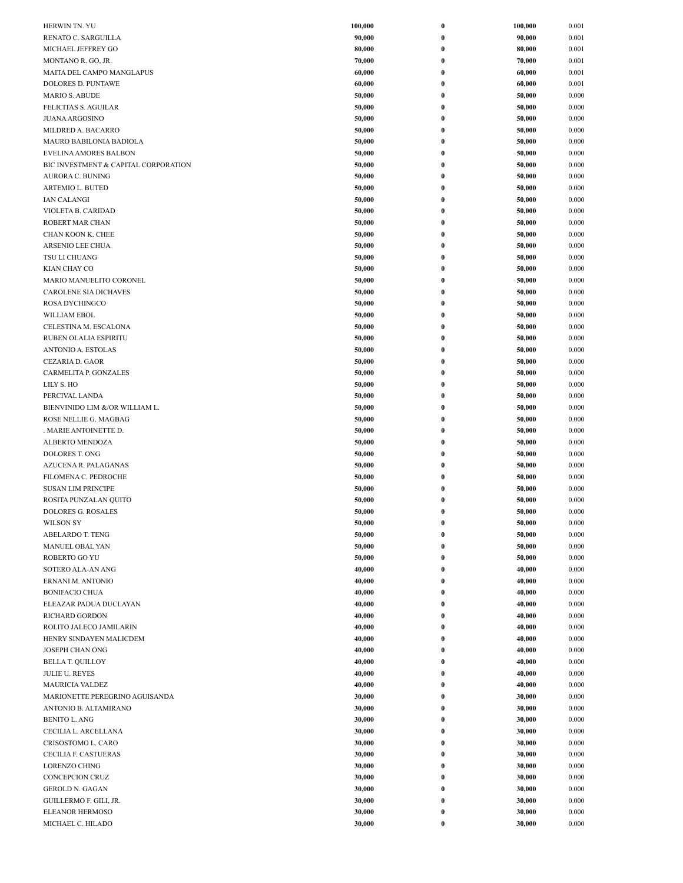| HERWIN TN. YU                                      | 100,000          | $\boldsymbol{0}$     | 100,000<br>0.001                   |  |
|----------------------------------------------------|------------------|----------------------|------------------------------------|--|
| RENATO C. SARGUILLA                                | 90,000           | $\bf{0}$             | 0.001<br>90,000                    |  |
| MICHAEL JEFFREY GO                                 | 80,000           | $\bf{0}$             | 0.001<br>80,000                    |  |
| MONTANO R. GO, JR.                                 | 70,000           | $\bf{0}$             | 70,000<br>0.001                    |  |
| MAITA DEL CAMPO MANGLAPUS                          | 60,000           | $\bf{0}$             | 60,000<br>0.001                    |  |
| <b>DOLORES D. PUNTAWE</b>                          | 60,000           | $\bf{0}$             | 60,000<br>0.001                    |  |
| <b>MARIO S. ABUDE</b>                              | 50,000           | $\bf{0}$             | 0.000<br>50,000                    |  |
| FELICITAS S. AGUILAR                               | 50,000           | $\bf{0}$             | 50,000<br>0.000                    |  |
| <b>JUANA ARGOSINO</b>                              | 50,000           | $\bf{0}$             | 0.000<br>50,000                    |  |
| MILDRED A. BACARRO                                 | 50,000           | $\bf{0}$             | 50,000<br>0.000                    |  |
| MAURO BABILONIA BADIOLA                            | 50,000           | $\bf{0}$             | 50,000<br>0.000                    |  |
| <b>EVELINA AMORES BALBON</b>                       | 50,000           | $\bf{0}$             | 50,000<br>0.000                    |  |
| BIC INVESTMENT & CAPITAL CORPORATION               | 50,000<br>50,000 | $\bf{0}$<br>$\bf{0}$ | 0.000<br>50,000<br>50,000<br>0.000 |  |
| <b>AURORA C. BUNING</b><br><b>ARTEMIO L. BUTED</b> | 50,000           | $\bf{0}$             | 50,000<br>0.000                    |  |
| <b>IAN CALANGI</b>                                 | 50,000           | $\bf{0}$             | 0.000<br>50,000                    |  |
| VIOLETA B. CARIDAD                                 | 50,000           | $\bf{0}$             | 0.000<br>50,000                    |  |
| ROBERT MAR CHAN                                    | 50,000           | $\bf{0}$             | 0.000<br>50,000                    |  |
| CHAN KOON K. CHEE                                  | 50,000           | $\bf{0}$             | 50,000<br>0.000                    |  |
| ARSENIO LEE CHUA                                   | 50,000           | $\bf{0}$             | 0.000<br>50,000                    |  |
| TSU LI CHUANG                                      | 50,000           | $\bf{0}$             | 50,000<br>0.000                    |  |
| KIAN CHAY CO                                       | 50,000           | $\bf{0}$             | 50,000<br>0.000                    |  |
| MARIO MANUELITO CORONEL                            | 50,000           | $\bf{0}$             | 50,000<br>0.000                    |  |
| <b>CAROLENE SIA DICHAVES</b>                       | 50,000           | $\bf{0}$             | 50,000<br>0.000                    |  |
| ROSA DYCHINGCO                                     | 50,000           | $\bf{0}$             | 50,000<br>0.000                    |  |
| WILLIAM EBOL                                       | 50,000           | $\bf{0}$             | 0.000<br>50,000                    |  |
| CELESTINA M. ESCALONA                              | 50,000           | $\bf{0}$             | 50,000<br>0.000                    |  |
| RUBEN OLALIA ESPIRITU                              | 50,000           | $\bf{0}$             | 50,000<br>0.000                    |  |
| ANTONIO A. ESTOLAS                                 | 50,000           | $\bf{0}$             | 0.000<br>50,000                    |  |
| CEZARIA D. GAOR                                    | 50,000           | $\pmb{0}$            | 50,000<br>0.000                    |  |
| CARMELITA P. GONZALES<br>LILY S. HO                | 50,000<br>50,000 | $\bf{0}$<br>$\bf{0}$ | 50,000<br>0.000<br>0.000<br>50,000 |  |
| PERCIVAL LANDA                                     | 50,000           | $\bf{0}$             | 0.000<br>50,000                    |  |
| BIENVINIDO LIM &/OR WILLIAM L.                     | 50,000           | $\bf{0}$             | 50,000<br>0.000                    |  |
| ROSE NELLIE G. MAGBAG                              | 50,000           | $\bf{0}$             | 50,000<br>0.000                    |  |
| . MARIE ANTOINETTE D.                              | 50,000           | $\bf{0}$             | 50,000<br>0.000                    |  |
| <b>ALBERTO MENDOZA</b>                             | 50,000           | $\bf{0}$             | 50,000<br>0.000                    |  |
| DOLORES T. ONG                                     | 50,000           | $\bf{0}$             | 50,000<br>0.000                    |  |
| AZUCENA R. PALAGANAS                               | 50,000           | $\bf{0}$             | 50,000<br>0.000                    |  |
| FILOMENA C. PEDROCHE                               | 50,000           | $\bf{0}$             | 0.000<br>50,000                    |  |
| <b>SUSAN LIM PRINCIPE</b>                          | 50,000           | $\bf{0}$             | 50,000<br>0.000                    |  |
| ROSITA PUNZALAN QUITO                              | 50,000           | $\bf{0}$             | 0.000<br>50,000                    |  |
| <b>DOLORES G. ROSALES</b>                          | 50,000           | $\bf{0}$             | 50,000<br>0.000                    |  |
| <b>WILSON SY</b>                                   | 50,000           | $\bf{0}$             | 50,000<br>0.000                    |  |
| <b>ABELARDO T. TENG</b>                            | 50,000           | $\bf{0}$             | 0.000<br>50,000                    |  |
| <b>MANUEL OBAL YAN</b>                             | 50,000           | $\bf{0}$             | 0.000<br>50,000                    |  |
| ROBERTO GO YU                                      | 50,000           | $\bf{0}$<br>$\bf{0}$ | 0.000<br>50,000<br>0.000           |  |
| SOTERO ALA-AN ANG<br>ERNANI M. ANTONIO             | 40,000<br>40,000 | $\boldsymbol{0}$     | 40,000<br>0.000<br>40,000          |  |
| <b>BONIFACIO CHUA</b>                              | 40,000           | $\bf{0}$             | 40,000<br>0.000                    |  |
| ELEAZAR PADUA DUCLAYAN                             | 40,000           | $\bf{0}$             | 40,000<br>0.000                    |  |
| <b>RICHARD GORDON</b>                              | 40,000           | 0                    | 40,000<br>0.000                    |  |
| ROLITO JALECO JAMILARIN                            | 40,000           | $\bf{0}$             | 40,000<br>0.000                    |  |
| HENRY SINDAYEN MALICDEM                            | 40,000           | $\bf{0}$             | 0.000<br>40,000                    |  |
| JOSEPH CHAN ONG                                    | 40,000           | $\bf{0}$             | 0.000<br>40,000                    |  |
| <b>BELLA T. QUILLOY</b>                            | 40,000           | $\pmb{0}$            | 40,000<br>0.000                    |  |
| <b>JULIE U. REYES</b>                              | 40,000           | $\bf{0}$             | 0.000<br>40,000                    |  |
| <b>MAURICIA VALDEZ</b>                             | 40,000           | $\bf{0}$             | 0.000<br>40,000                    |  |
| MARIONETTE PEREGRINO AGUISANDA                     | 30,000           | $\bf{0}$             | 0.000<br>30,000                    |  |
| ANTONIO B. ALTAMIRANO                              | 30,000           | $\bf{0}$             | 0.000<br>30,000                    |  |
| <b>BENITO L. ANG</b>                               | 30,000           | $\bf{0}$             | 0.000<br>30,000                    |  |
| CECILIA L. ARCELLANA                               | 30,000           | $\bf{0}$             | 0.000<br>30,000                    |  |
| CRISOSTOMO L. CARO                                 | 30,000           | $\bf{0}$             | 30,000<br>0.000                    |  |
| CECILIA F. CASTUERAS                               | 30,000           | $\bf{0}$<br>$\bf{0}$ | 0.000<br>30,000<br>0.000           |  |
| <b>LORENZO CHING</b><br>CONCEPCION CRUZ            | 30,000<br>30,000 | 0                    | 30,000<br>30,000<br>0.000          |  |
| <b>GEROLD N. GAGAN</b>                             | 30,000           | $\bf{0}$             | 30,000<br>0.000                    |  |
| GUILLERMO F. GILI, JR.                             | 30,000           | $\bf{0}$             | 0.000<br>30,000                    |  |
| ELEANOR HERMOSO                                    | 30,000           | $\boldsymbol{0}$     | 30,000<br>0.000                    |  |
| MICHAEL C. HILADO                                  | 30,000           | $\pmb{0}$            | 30,000<br>0.000                    |  |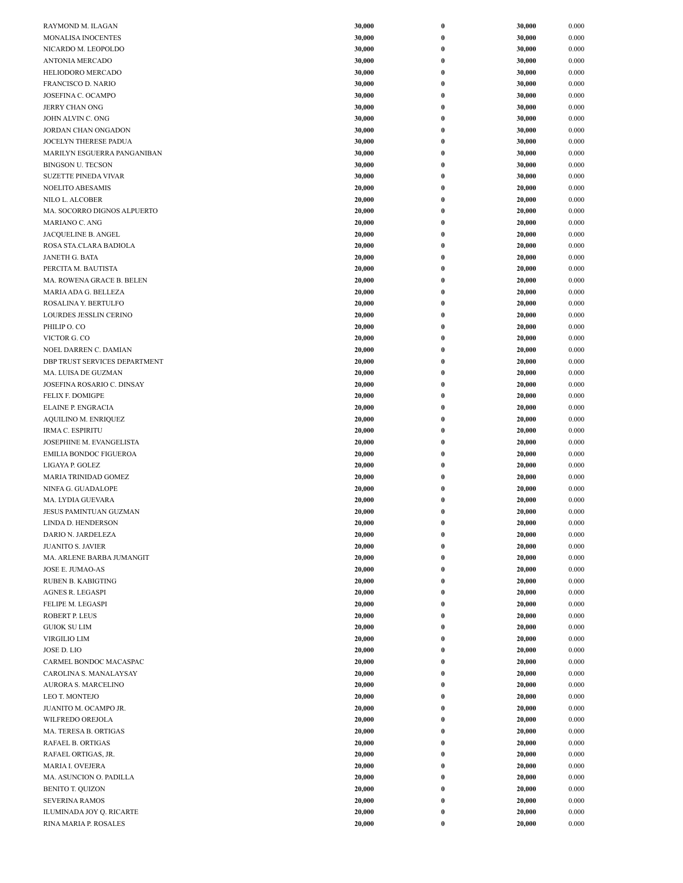|                               | 30,000 |                  | 30,000 | 0.000 |
|-------------------------------|--------|------------------|--------|-------|
| RAYMOND M. ILAGAN             |        | $\bf{0}$         |        |       |
| <b>MONALISA INOCENTES</b>     | 30,000 | $\bf{0}$         | 30,000 | 0.000 |
| NICARDO M. LEOPOLDO           | 30,000 | $\boldsymbol{0}$ | 30,000 | 0.000 |
| <b>ANTONIA MERCADO</b>        | 30,000 | $\bf{0}$         | 30,000 | 0.000 |
| HELIODORO MERCADO             | 30,000 | $\bf{0}$         | 30,000 | 0.000 |
| FRANCISCO D. NARIO            | 30,000 | $\bf{0}$         | 30,000 | 0.000 |
| JOSEFINA C. OCAMPO            | 30,000 | $\bf{0}$         | 30,000 | 0.000 |
| JERRY CHAN ONG                | 30,000 | $\bf{0}$         | 30,000 | 0.000 |
| JOHN ALVIN C. ONG             | 30,000 | $\bf{0}$         | 30,000 | 0.000 |
| JORDAN CHAN ONGADON           | 30,000 | $\bf{0}$         | 30,000 | 0.000 |
| JOCELYN THERESE PADUA         | 30,000 | $\bf{0}$         | 30,000 | 0.000 |
| MARILYN ESGUERRA PANGANIBAN   | 30,000 | $\bf{0}$         | 30,000 | 0.000 |
| <b>BINGSON U. TECSON</b>      | 30,000 | $\bf{0}$         | 30,000 | 0.000 |
| <b>SUZETTE PINEDA VIVAR</b>   | 30,000 | $\boldsymbol{0}$ | 30,000 | 0.000 |
| <b>NOELITO ABESAMIS</b>       | 20,000 | $\bf{0}$         | 20,000 | 0.000 |
| NILO L. ALCOBER               | 20,000 | $\bf{0}$         | 20,000 | 0.000 |
| MA. SOCORRO DIGNOS ALPUERTO   | 20,000 | $\bf{0}$         | 20,000 | 0.000 |
| <b>MARIANO C. ANG</b>         | 20,000 | $\bf{0}$         | 20,000 | 0.000 |
| JACQUELINE B. ANGEL           | 20,000 | $\bf{0}$         | 20,000 | 0.000 |
| ROSA STA.CLARA BADIOLA        | 20,000 | $\bf{0}$         | 20,000 | 0.000 |
| <b>JANETH G. BATA</b>         | 20,000 | $\bf{0}$         | 20,000 | 0.000 |
| PERCITA M. BAUTISTA           | 20,000 | $\bf{0}$         | 20,000 | 0.000 |
| MA. ROWENA GRACE B. BELEN     | 20,000 | $\bf{0}$         | 20,000 | 0.000 |
| MARIA ADA G. BELLEZA          | 20,000 | $\bf{0}$         | 20,000 | 0.000 |
| ROSALINA Y. BERTULFO          | 20,000 | $\bf{0}$         | 20,000 | 0.000 |
| LOURDES JESSLIN CERINO        | 20,000 | $\bf{0}$         | 20,000 | 0.000 |
| PHILIP O. CO                  | 20,000 | $\bf{0}$         | 20,000 | 0.000 |
| VICTOR G. CO                  | 20,000 | $\bf{0}$         | 20,000 | 0.000 |
| NOEL DARREN C. DAMIAN         | 20,000 | $\bf{0}$         | 20,000 | 0.000 |
| DBP TRUST SERVICES DEPARTMENT | 20,000 | $\bf{0}$         | 20,000 | 0.000 |
| MA. LUISA DE GUZMAN           | 20,000 | $\bf{0}$         | 20,000 | 0.000 |
| JOSEFINA ROSARIO C. DINSAY    | 20,000 | $\bf{0}$         | 20,000 | 0.000 |
| FELIX F. DOMIGPE              | 20,000 | $\bf{0}$         | 20,000 | 0.000 |
| ELAINE P. ENGRACIA            | 20,000 | $\bf{0}$         | 20,000 | 0.000 |
| <b>AQUILINO M. ENRIQUEZ</b>   | 20,000 | $\bf{0}$         | 20,000 | 0.000 |
| <b>IRMA C. ESPIRITU</b>       | 20,000 | $\boldsymbol{0}$ | 20,000 | 0.000 |
| JOSEPHINE M. EVANGELISTA      | 20,000 | $\bf{0}$         | 20,000 | 0.000 |
| <b>EMILIA BONDOC FIGUEROA</b> | 20,000 | $\bf{0}$         | 20,000 | 0.000 |
| LIGAYA P. GOLEZ               | 20,000 | $\bf{0}$         | 20,000 | 0.000 |
| MARIA TRINIDAD GOMEZ          | 20,000 | $\bf{0}$         | 20,000 | 0.000 |
| NINFA G. GUADALOPE            | 20,000 | $\bf{0}$         | 20,000 | 0.000 |
| MA. LYDIA GUEVARA             | 20,000 | $\bf{0}$         | 20,000 | 0.000 |
| JESUS PAMINTUAN GUZMAN        | 20,000 | $\mathbf{0}$     | 20,000 | 0.000 |
| LINDA D. HENDERSON            | 20,000 | $\pmb{0}$        | 20,000 | 0.000 |
| DARIO N. JARDELEZA            | 20,000 | $\bf{0}$         | 20,000 | 0.000 |
| <b>JUANITO S. JAVIER</b>      | 20,000 | $\bf{0}$         | 20,000 | 0.000 |
| MA. ARLENE BARBA JUMANGIT     | 20,000 | $\boldsymbol{0}$ | 20,000 | 0.000 |
| JOSE E. JUMAO-AS              | 20,000 | $\pmb{0}$        | 20,000 | 0.000 |
| RUBEN B. KABIGTING            | 20,000 | $\boldsymbol{0}$ | 20,000 | 0.000 |
| AGNES R. LEGASPI              | 20,000 | $\bf{0}$         | 20,000 | 0.000 |
| FELIPE M. LEGASPI             | 20,000 | $\pmb{0}$        | 20,000 | 0.000 |
| <b>ROBERT P. LEUS</b>         | 20,000 | $\pmb{0}$        | 20,000 | 0.000 |
| <b>GUIOK SU LIM</b>           | 20,000 | $\bf{0}$         | 20,000 | 0.000 |
| VIRGILIO LIM                  | 20,000 | $\bf{0}$         | 20,000 | 0.000 |
| JOSE D. LIO                   | 20,000 | $\bf{0}$         | 20,000 | 0.000 |
| CARMEL BONDOC MACASPAC        | 20,000 | $\boldsymbol{0}$ | 20,000 | 0.000 |
| CAROLINA S. MANALAYSAY        | 20,000 | $\bf{0}$         | 20,000 | 0.000 |
| AURORA S. MARCELINO           | 20,000 | $\boldsymbol{0}$ | 20,000 | 0.000 |
| LEO T. MONTEJO                | 20,000 | $\pmb{0}$        | 20,000 | 0.000 |
| JUANITO M. OCAMPO JR.         | 20,000 | $\boldsymbol{0}$ | 20,000 | 0.000 |
| WILFREDO OREJOLA              | 20,000 | $\bf{0}$         | 20,000 | 0.000 |
| MA. TERESA B. ORTIGAS         | 20,000 | $\pmb{0}$        | 20,000 | 0.000 |
| RAFAEL B. ORTIGAS             | 20,000 | $\pmb{0}$        | 20,000 | 0.000 |
| RAFAEL ORTIGAS, JR.           | 20,000 | $\bf{0}$         | 20,000 | 0.000 |
| MARIA I. OVEJERA              | 20,000 | $\bf{0}$         | 20,000 | 0.000 |
| MA. ASUNCION O. PADILLA       | 20,000 | $\bf{0}$         | 20,000 | 0.000 |
| <b>BENITO T. QUIZON</b>       | 20,000 | $\bf{0}$         | 20,000 | 0.000 |
| <b>SEVERINA RAMOS</b>         | 20,000 | $\bf{0}$         | 20,000 | 0.000 |
| ILUMINADA JOY Q. RICARTE      | 20,000 | $\boldsymbol{0}$ | 20,000 | 0.000 |
| RINA MARIA P. ROSALES         | 20,000 | $\pmb{0}$        | 20,000 | 0.000 |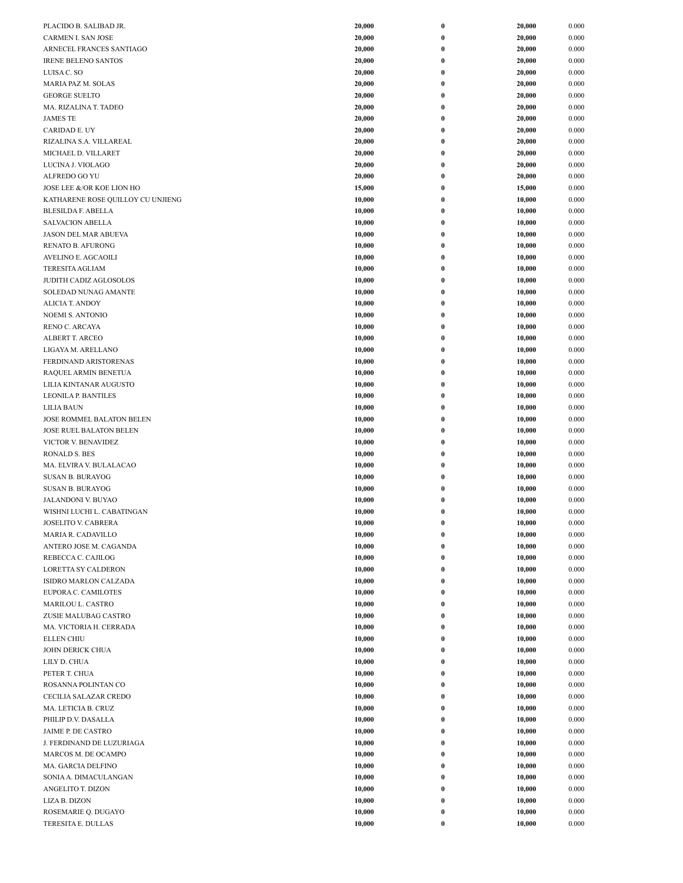| PLACIDO B. SALIBAD JR.                                      | 20,000           | $\boldsymbol{0}$     | 20,000           | 0.000          |
|-------------------------------------------------------------|------------------|----------------------|------------------|----------------|
| <b>CARMEN I. SAN JOSE</b>                                   | 20,000           | $\bf{0}$             | 20,000           | 0.000          |
| ARNECEL FRANCES SANTIAGO                                    | 20,000           | 0                    | 20,000           | 0.000          |
| <b>IRENE BELENO SANTOS</b>                                  | 20,000           | $\bf{0}$             | 20,000           | 0.000          |
| LUISA C. SO                                                 | 20,000           | $\bf{0}$             | 20,000           | 0.000          |
| MARIA PAZ M. SOLAS                                          | 20,000           | $\bf{0}$             | 20,000           | 0.000          |
| <b>GEORGE SUELTO</b>                                        | 20,000           | $\bf{0}$             | 20,000           | 0.000          |
| MA. RIZALINA T. TADEO                                       | 20,000           | $\bf{0}$             | 20,000           | 0.000          |
| <b>JAMES TE</b>                                             | 20,000           | $\bf{0}$             | 20,000           | 0.000          |
| <b>CARIDAD E. UY</b>                                        | 20,000<br>20,000 | $\bf{0}$<br>$\bf{0}$ | 20,000<br>20,000 | 0.000<br>0.000 |
| RIZALINA S.A. VILLAREAL<br>MICHAEL D. VILLARET              | 20,000           | $\bf{0}$             | 20,000           | 0.000          |
| LUCINA J. VIOLAGO                                           | 20,000           | $\bf{0}$             | 20,000           | 0.000          |
| ALFREDO GO YU                                               | 20,000           | 0                    | 20,000           | 0.000          |
| JOSE LEE &/OR KOE LION HO                                   | 15,000           | $\bf{0}$             | 15,000           | 0.000          |
| KATHARENE ROSE QUILLOY CU UNJIENG                           | 10,000           | $\bf{0}$             | 10,000           | 0.000          |
| <b>BLESILDA F. ABELLA</b>                                   | 10,000           | $\bf{0}$             | 10,000           | 0.000          |
| SALVACION ABELLA                                            | 10,000           | $\bf{0}$             | 10,000           | 0.000          |
| <b>JASON DEL MAR ABUEVA</b>                                 | 10,000           | $\bf{0}$             | 10,000           | 0.000          |
| RENATO B. AFURONG                                           | 10,000           | $\bf{0}$             | 10,000           | 0.000          |
| <b>AVELINO E. AGCAOILI</b>                                  | 10,000           | $\bf{0}$             | 10,000           | 0.000          |
| <b>TERESITA AGLIAM</b>                                      | 10,000           | $\bf{0}$             | 10,000           | 0.000          |
| <b>JUDITH CADIZ AGLOSOLOS</b><br>SOLEDAD NUNAG AMANTE       | 10,000<br>10,000 | $\bf{0}$<br>$\bf{0}$ | 10,000<br>10,000 | 0.000<br>0.000 |
| <b>ALICIA T. ANDOY</b>                                      | 10,000           | 0                    | 10,000           | 0.000          |
| <b>NOEMI S. ANTONIO</b>                                     | 10,000           | $\bf{0}$             | 10,000           | 0.000          |
| <b>RENO C. ARCAYA</b>                                       | 10,000           | $\bf{0}$             | 10,000           | 0.000          |
| ALBERT T. ARCEO                                             | 10,000           | $\bf{0}$             | 10,000           | 0.000          |
| LIGAYA M. ARELLANO                                          | 10,000           | $\bf{0}$             | 10,000           | 0.000          |
| FERDINAND ARISTORENAS                                       | 10,000           | $\bf{0}$             | 10,000           | 0.000          |
| RAQUEL ARMIN BENETUA                                        | 10,000           | $\bf{0}$             | 10,000           | 0.000          |
| LILIA KINTANAR AUGUSTO                                      | 10,000           | $\bf{0}$             | 10,000           | 0.000          |
| <b>LEONILA P. BANTILES</b>                                  | 10,000           | $\bf{0}$             | 10,000           | 0.000          |
| <b>LILIA BAUN</b>                                           | 10,000           | $\bf{0}$             | 10,000           | 0.000          |
| JOSE ROMMEL BALATON BELEN<br><b>JOSE RUEL BALATON BELEN</b> | 10,000<br>10,000 | $\bf{0}$<br>0        | 10,000<br>10,000 | 0.000<br>0.000 |
| VICTOR V. BENAVIDEZ                                         | 10,000           | $\bf{0}$             | 10,000           | 0.000          |
| <b>RONALD S. BES</b>                                        | 10,000           | $\bf{0}$             | 10,000           | 0.000          |
| MA. ELVIRA V. BULALACAO                                     | 10,000           | $\bf{0}$             | 10,000           | 0.000          |
| <b>SUSAN B. BURAYOG</b>                                     | 10,000           | 0                    | 10,000           | 0.000          |
| <b>SUSAN B. BURAYOG</b>                                     | 10,000           | $\bf{0}$             | 10,000           | 0.000          |
| JALANDONI V. BUYAO                                          | 10,000           | 0                    | 10,000           | 0.000          |
| WISHNI LUCHI L. CABATINGAN                                  | 10,000           | $\bf{0}$             | 10,000           | 0.000          |
| <b>JOSELITO V. CABRERA</b>                                  | 10,000           | $\pmb{0}$            | 10,000           | 0.000          |
| MARIA R. CADAVILLO                                          | 10,000           | $\bf{0}$             | 10,000           | 0.000          |
| ANTERO JOSE M. CAGANDA                                      | 10,000<br>10,000 | $\bf{0}$             | 10,000           | 0.000<br>0.000 |
| REBECCA C. CAJILOG<br>LORETTA SY CALDERON                   | 10,000           | 0<br>$\bf{0}$        | 10,000<br>10,000 | 0.000          |
| ISIDRO MARLON CALZADA                                       | 10,000           | 0                    | 10,000           | 0.000          |
| EUPORA C. CAMILOTES                                         | 10,000           | $\bf{0}$             | 10,000           | 0.000          |
| MARILOU L. CASTRO                                           | 10,000           | $\bf{0}$             | 10,000           | 0.000          |
| ZUSIE MALUBAG CASTRO                                        | 10,000           | $\bf{0}$             | 10,000           | 0.000          |
| MA. VICTORIA H. CERRADA                                     | 10,000           | $\bf{0}$             | 10,000           | 0.000          |
| <b>ELLEN CHIU</b>                                           | 10,000           | $\bf{0}$             | 10,000           | 0.000          |
| JOHN DERICK CHUA                                            | 10,000           | $\bf{0}$             | 10,000           | 0.000          |
| LILY D. CHUA                                                | 10,000           | $\bf{0}$             | 10,000           | 0.000          |
| PETER T. CHUA                                               | 10,000           | $\bf{0}$             | 10,000           | 0.000          |
| ROSANNA POLINTAN CO<br>CECILIA SALAZAR CREDO                | 10,000<br>10,000 | 0<br>$\bf{0}$        | 10,000<br>10,000 | 0.000<br>0.000 |
| MA. LETICIA B. CRUZ                                         | 10,000           | 0                    | 10,000           | 0.000          |
| PHILIP D.V. DASALLA                                         | 10,000           | $\bf{0}$             | 10,000           | 0.000          |
| JAIME P. DE CASTRO                                          | 10,000           | $\bf{0}$             | 10,000           | 0.000          |
| J. FERDINAND DE LUZURIAGA                                   | 10,000           | $\bf{0}$             | 10,000           | 0.000          |
| MARCOS M. DE OCAMPO                                         | 10,000           | $\bf{0}$             | 10,000           | 0.000          |
| MA. GARCIA DELFINO                                          | 10,000           | $\bf{0}$             | 10,000           | 0.000          |
| SONIA A. DIMACULANGAN                                       | 10,000           | $\bf{0}$             | 10,000           | 0.000          |
| ANGELITO T. DIZON                                           | 10,000           | $\bf{0}$             | 10,000           | 0.000          |
| LIZA B. DIZON                                               | 10,000           | $\bf{0}$             | 10,000           | 0.000          |
| ROSEMARIE Q. DUGAYO<br>TERESITA E. DULLAS                   | 10,000<br>10,000 | 0<br>$\bf{0}$        | 10,000<br>10,000 | 0.000<br>0.000 |
|                                                             |                  |                      |                  |                |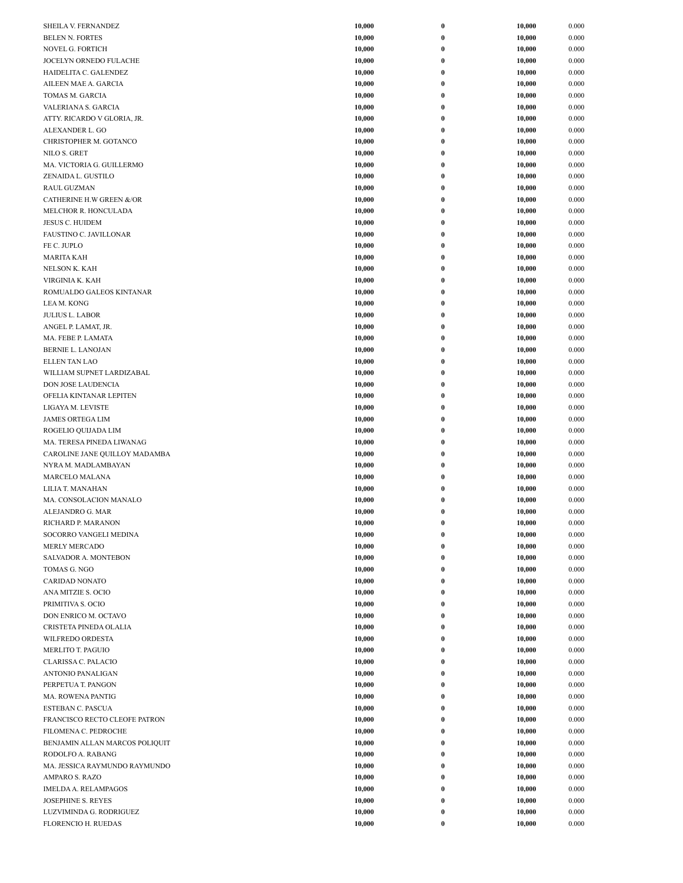| SHEILA V. FERNANDEZ            | 10,000 | $\boldsymbol{0}$ | 10,000 | 0.000 |
|--------------------------------|--------|------------------|--------|-------|
| <b>BELEN N. FORTES</b>         | 10,000 | $\bf{0}$         | 10,000 | 0.000 |
| NOVEL G. FORTICH               | 10,000 | $\bf{0}$         | 10,000 | 0.000 |
| JOCELYN ORNEDO FULACHE         | 10,000 | $\bf{0}$         | 10,000 | 0.000 |
| HAIDELITA C. GALENDEZ          | 10,000 | $\pmb{0}$        | 10,000 | 0.000 |
| AILEEN MAE A. GARCIA           | 10,000 | 0                | 10,000 | 0.000 |
| TOMAS M. GARCIA                | 10,000 | $\bf{0}$         | 10,000 | 0.000 |
| VALERIANA S. GARCIA            | 10,000 | $\bf{0}$         | 10,000 | 0.000 |
|                                | 10,000 |                  | 10,000 | 0.000 |
| ATTY. RICARDO V GLORIA, JR.    |        | $\boldsymbol{0}$ |        |       |
| ALEXANDER L. GO                | 10,000 | $\bf{0}$         | 10,000 | 0.000 |
| CHRISTOPHER M. GOTANCO         | 10,000 | $\boldsymbol{0}$ | 10,000 | 0.000 |
| NILO S. GRET                   | 10,000 | $\bf{0}$         | 10,000 | 0.000 |
| MA. VICTORIA G. GUILLERMO      | 10,000 | $\bf{0}$         | 10,000 | 0.000 |
| ZENAIDA L. GUSTILO             | 10,000 | $\bf{0}$         | 10,000 | 0.000 |
| <b>RAUL GUZMAN</b>             | 10,000 | $\bf{0}$         | 10,000 | 0.000 |
| CATHERINE H.W GREEN &/OR       | 10,000 | $\bf{0}$         | 10,000 | 0.000 |
| MELCHOR R. HONCULADA           | 10,000 | $\bf{0}$         | 10,000 | 0.000 |
| JESUS C. HUIDEM                | 10,000 | $\pmb{0}$        | 10,000 | 0.000 |
| FAUSTINO C. JAVILLONAR         | 10,000 | $\bf{0}$         | 10,000 | 0.000 |
| FE C. JUPLO                    | 10,000 | $\bf{0}$         | 10,000 | 0.000 |
| <b>MARITA KAH</b>              | 10,000 | 0                | 10,000 | 0.000 |
|                                |        |                  |        |       |
| <b>NELSON K. KAH</b>           | 10,000 | $\boldsymbol{0}$ | 10,000 | 0.000 |
| VIRGINIA K. KAH                | 10,000 | $\bf{0}$         | 10,000 | 0.000 |
| ROMUALDO GALEOS KINTANAR       | 10,000 | $\bf{0}$         | 10,000 | 0.000 |
| LEA M. KONG                    | 10,000 | $\bf{0}$         | 10,000 | 0.000 |
| <b>JULIUS L. LABOR</b>         | 10,000 | $\bf{0}$         | 10,000 | 0.000 |
| ANGEL P. LAMAT, JR.            | 10,000 | $\bf{0}$         | 10,000 | 0.000 |
| MA. FEBE P. LAMATA             | 10,000 | 0                | 10,000 | 0.000 |
| <b>BERNIE L. LANOJAN</b>       | 10,000 | 0                | 10,000 | 0.000 |
| <b>ELLEN TAN LAO</b>           | 10,000 | $\bf{0}$         | 10,000 | 0.000 |
| WILLIAM SUPNET LARDIZABAL      | 10,000 | $\bf{0}$         | 10,000 | 0.000 |
| DON JOSE LAUDENCIA             | 10,000 | 0                | 10,000 | 0.000 |
|                                |        |                  |        |       |
| OFELIA KINTANAR LEPITEN        | 10,000 | $\boldsymbol{0}$ | 10,000 | 0.000 |
| LIGAYA M. LEVISTE              | 10,000 | $\bf{0}$         | 10,000 | 0.000 |
| <b>JAMES ORTEGA LIM</b>        | 10,000 | $\boldsymbol{0}$ | 10,000 | 0.000 |
| ROGELIO QUIJADA LIM            | 10,000 | $\bf{0}$         | 10,000 | 0.000 |
| MA. TERESA PINEDA LIWANAG      | 10,000 | $\bf{0}$         | 10,000 | 0.000 |
| CAROLINE JANE QUILLOY MADAMBA  | 10,000 | $\bf{0}$         | 10,000 | 0.000 |
| NYRA M. MADLAMBAYAN            | 10,000 | $\bf{0}$         | 10,000 | 0.000 |
| <b>MARCELO MALANA</b>          | 10,000 | 0                | 10,000 | 0.000 |
| LILIA T. MANAHAN               | 10,000 | 0                | 10,000 | 0.000 |
| MA. CONSOLACION MANALO         | 10,000 | 0                | 10,000 | 0.000 |
| ALEJANDRO G. MAR               | 10,000 | 0                | 10,000 | 0.000 |
| RICHARD P. MARANON             | 10,000 | 0                | 10,000 | 0.000 |
|                                |        |                  |        | 0.000 |
| SOCORRO VANGELI MEDINA         | 10,000 | $\boldsymbol{0}$ | 10,000 |       |
| MERLY MERCADO                  | 10,000 | $\boldsymbol{0}$ | 10,000 | 0.000 |
| SALVADOR A. MONTEBON           | 10,000 | $\bf{0}$         | 10,000 | 0.000 |
| TOMAS G. NGO                   | 10,000 | $\bf{0}$         | 10,000 | 0.000 |
| <b>CARIDAD NONATO</b>          | 10,000 | $\bf{0}$         | 10,000 | 0.000 |
| ANA MITZIE S. OCIO             | 10,000 | $\pmb{0}$        | 10,000 | 0.000 |
| PRIMITIVA S. OCIO              | 10,000 | 0                | 10,000 | 0.000 |
| DON ENRICO M. OCTAVO           | 10,000 | $\bf{0}$         | 10,000 | 0.000 |
| CRISTETA PINEDA OLALIA         | 10,000 | $\bf{0}$         | 10,000 | 0.000 |
| WILFREDO ORDESTA               | 10,000 | 0                | 10,000 | 0.000 |
| <b>MERLITO T. PAGUIO</b>       | 10,000 | $\boldsymbol{0}$ | 10,000 | 0.000 |
| CLARISSA C. PALACIO            | 10,000 | $\bf{0}$         | 10,000 | 0.000 |
| ANTONIO PANALIGAN              | 10,000 | $\boldsymbol{0}$ | 10,000 | 0.000 |
|                                |        | $\bf{0}$         |        | 0.000 |
| PERPETUA T. PANGON             | 10,000 |                  | 10,000 |       |
| MA. ROWENA PANTIG              | 10,000 | $\bf{0}$         | 10,000 | 0.000 |
| ESTEBAN C. PASCUA              | 10,000 | $\bf{0}$         | 10,000 | 0.000 |
| FRANCISCO RECTO CLEOFE PATRON  | 10,000 | 0                | 10,000 | 0.000 |
| FILOMENA C. PEDROCHE           | 10,000 | 0                | 10,000 | 0.000 |
| BENJAMIN ALLAN MARCOS POLIQUIT | 10,000 | $\bf{0}$         | 10,000 | 0.000 |
| RODOLFO A. RABANG              | 10,000 | $\boldsymbol{0}$ | 10,000 | 0.000 |
| MA. JESSICA RAYMUNDO RAYMUNDO  | 10,000 | 0                | 10,000 | 0.000 |
| AMPARO S. RAZO                 | 10,000 | 0                | 10,000 | 0.000 |
| IMELDA A. RELAMPAGOS           | 10,000 | $\bf{0}$         | 10,000 | 0.000 |
| <b>JOSEPHINE S. REYES</b>      | 10,000 | $\boldsymbol{0}$ | 10,000 | 0.000 |
| LUZVIMINDA G. RODRIGUEZ        | 10,000 | $\pmb{0}$        | 10,000 | 0.000 |
| FLORENCIO H. RUEDAS            | 10,000 | $\pmb{0}$        | 10,000 | 0.000 |
|                                |        |                  |        |       |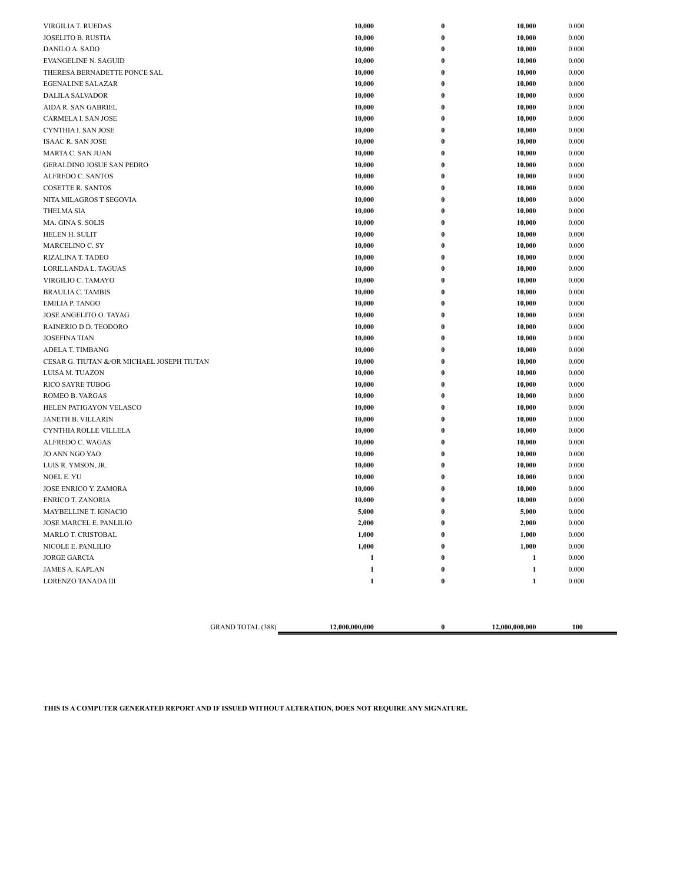| VIRGILIA T. RUEDAS                         | 10,000       | $\bf{0}$         | 10,000       | 0.000 |
|--------------------------------------------|--------------|------------------|--------------|-------|
| <b>JOSELITO B. RUSTIA</b>                  | 10,000       | $\bf{0}$         | 10,000       | 0.000 |
| DANILO A. SADO                             | 10,000       | $\bf{0}$         | 10,000       | 0.000 |
| <b>EVANGELINE N. SAGUID</b>                | 10,000       | 0                | 10,000       | 0.000 |
| THERESA BERNADETTE PONCE SAL               | 10,000       | 0                | 10,000       | 0.000 |
| <b>EGENALINE SALAZAR</b>                   | 10,000       | 0                | 10,000       | 0.000 |
| DALILA SALVADOR                            | 10,000       | 0                | 10,000       | 0.000 |
| AIDA R. SAN GABRIEL                        | 10,000       | 0                | 10,000       | 0.000 |
| CARMELA I. SAN JOSE                        | 10,000       | 0                | 10,000       | 0.000 |
| CYNTHIA I. SAN JOSE                        | 10,000       | 0                | 10,000       | 0.000 |
| <b>ISAAC R. SAN JOSE</b>                   | 10,000       | 0                | 10,000       | 0.000 |
| MARTA C. SAN JUAN                          | 10,000       | 0                | 10,000       | 0.000 |
| <b>GERALDINO JOSUE SAN PEDRO</b>           | 10,000       | 0                | 10,000       | 0.000 |
| ALFREDO C. SANTOS                          | 10,000       | $\bf{0}$         | 10,000       | 0.000 |
| <b>COSETTE R. SANTOS</b>                   | 10,000       | 0                | 10,000       | 0.000 |
| NITA MILAGROS T SEGOVIA                    | 10,000       | 0                | 10,000       | 0.000 |
| <b>THELMA SIA</b>                          | 10,000       | 0                | 10,000       | 0.000 |
| MA. GINA S. SOLIS                          | 10,000       | 0                | 10,000       | 0.000 |
| HELEN H. SULIT                             | 10,000       | 0                | 10,000       | 0.000 |
| MARCELINO C. SY                            | 10,000       | 0                | 10,000       | 0.000 |
| RIZALINA T. TADEO                          | 10,000       | 0                | 10,000       | 0.000 |
| LORILLANDA L. TAGUAS                       | 10,000       | 0                | 10,000       | 0.000 |
| VIRGILIO C. TAMAYO                         | 10,000       | 0                | 10,000       | 0.000 |
| <b>BRAULIA C. TAMBIS</b>                   | 10,000       | $\bf{0}$         | 10,000       | 0.000 |
| <b>EMILIA P. TANGO</b>                     | 10,000       | $\bf{0}$         | 10,000       | 0.000 |
| JOSE ANGELITO O. TAYAG                     | 10,000       | 0                | 10,000       | 0.000 |
| RAINERIO D D. TEODORO                      | 10,000       | 0                | 10,000       | 0.000 |
| <b>JOSEFINA TIAN</b>                       |              |                  |              |       |
|                                            | 10,000       | 0                | 10,000       | 0.000 |
| ADELA T. TIMBANG                           | 10,000       | 0                | 10,000       | 0.000 |
| CESAR G. TIUTAN &/OR MICHAEL JOSEPH TIUTAN | 10,000       | 0                | 10,000       | 0.000 |
| LUISA M. TUAZON                            | 10,000       | 0                | 10,000       | 0.000 |
| <b>RICO SAYRE TUBOG</b>                    | 10,000       | 0                | 10,000       | 0.000 |
| ROMEO B. VARGAS                            | 10,000       | 0                | 10,000       | 0.000 |
| HELEN PATIGAYON VELASCO                    | 10,000       | 0                | 10,000       | 0.000 |
| JANETH B. VILLARIN                         | 10,000       | 0                | 10,000       | 0.000 |
| CYNTHIA ROLLE VILLELA                      | 10,000       | $\bf{0}$         | 10,000       | 0.000 |
| ALFREDO C. WAGAS                           | 10,000       | 0                | 10,000       | 0.000 |
| JO ANN NGO YAO                             | 10,000       | 0                | 10,000       | 0.000 |
| LUIS R. YMSON, JR.                         | 10,000       | 0                | 10,000       | 0.000 |
| <b>NOEL E. YU</b>                          | 10,000       | 0                | 10,000       | 0.000 |
| JOSE ENRICO Y. ZAMORA                      | 10,000       | 0                | 10,000       | 0.000 |
| <b>ENRICO T. ZANORIA</b>                   | 10,000       | 0                | 10,000       | 0.000 |
| MAYBELLINE T. IGNACIO                      | 5,000        | 0                | 5,000        | 0.000 |
| JOSE MARCEL E. PANLILIO                    | 2,000        |                  | 2,000        | 0.000 |
| MARLO T. CRISTOBAL                         | 1,000        | $\boldsymbol{0}$ | 1,000        | 0.000 |
| NICOLE E. PANLILIO                         | 1,000        | $\bf{0}$         | 1,000        | 0.000 |
| <b>JORGE GARCIA</b>                        | $\mathbf{1}$ | $\boldsymbol{0}$ | $\mathbf{1}$ | 0.000 |
| <b>JAMES A. KAPLAN</b>                     | $\mathbf 1$  | $\boldsymbol{0}$ | $\mathbf 1$  | 0.000 |
| LORENZO TANADA III                         | $\mathbf{1}$ | $\pmb{0}$        | $\mathbf 1$  | 0.000 |
|                                            |              |                  |              |       |

GRAND TOTAL (388) **12,000,000,000 0 12,000,000,000 100**

**THIS IS A COMPUTER GENERATED REPORT AND IF ISSUED WITHOUT ALTERATION, DOES NOT REQUIRE ANY SIGNATURE.**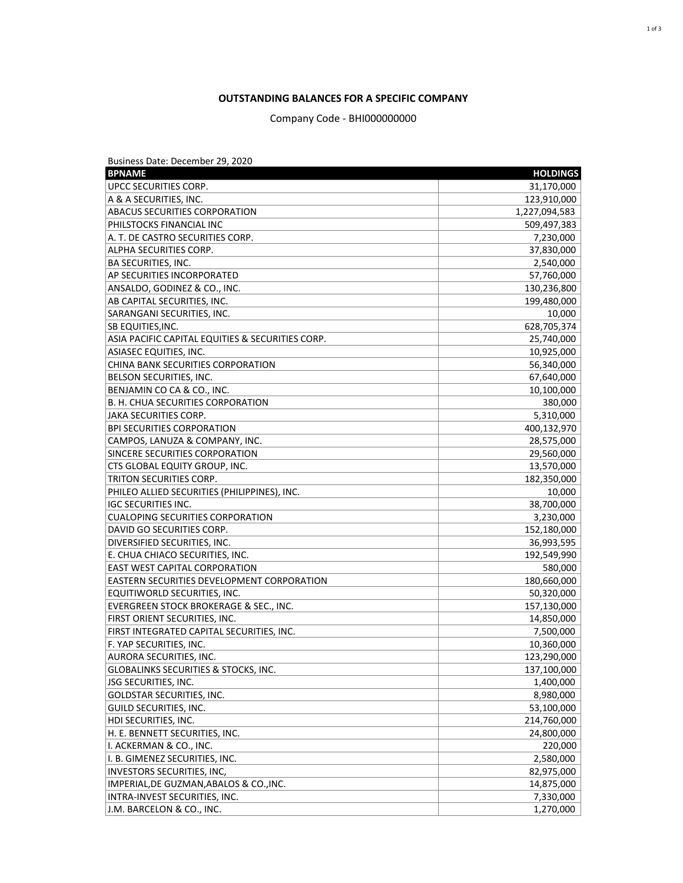## **OUTSTANDING BALANCES FOR A SPECIFIC COMPANY**

Company Code - BHI000000000

| Business Date: December 29, 2020                 |                 |
|--------------------------------------------------|-----------------|
| <b>BPNAME</b>                                    | <b>HOLDINGS</b> |
| UPCC SECURITIES CORP.                            | 31,170,000      |
| A & A SECURITIES, INC.                           | 123,910,000     |
| <b>ABACUS SECURITIES CORPORATION</b>             | 1,227,094,583   |
| PHILSTOCKS FINANCIAL INC                         | 509,497,383     |
| A. T. DE CASTRO SECURITIES CORP.                 | 7,230,000       |
| ALPHA SECURITIES CORP.                           | 37,830,000      |
| <b>BA SECURITIES, INC.</b>                       | 2,540,000       |
| AP SECURITIES INCORPORATED                       | 57,760,000      |
| ANSALDO, GODINEZ & CO., INC.                     | 130,236,800     |
| AB CAPITAL SECURITIES, INC.                      | 199,480,000     |
| SARANGANI SECURITIES, INC.                       | 10,000          |
| <b>SB EQUITIES, INC.</b>                         | 628,705,374     |
| ASIA PACIFIC CAPITAL EQUITIES & SECURITIES CORP. | 25,740,000      |
| <b>ASIASEC EQUITIES, INC.</b>                    | 10,925,000      |
| CHINA BANK SECURITIES CORPORATION                | 56,340,000      |
| BELSON SECURITIES, INC.                          | 67,640,000      |
| BENJAMIN CO CA & CO., INC.                       | 10,100,000      |
| B. H. CHUA SECURITIES CORPORATION                | 380,000         |
| IJAKA SECURITIES CORP.                           | 5,310,000       |
| <b>BPI SECURITIES CORPORATION</b>                | 400,132,970     |
| CAMPOS, LANUZA & COMPANY, INC.                   | 28,575,000      |
| SINCERE SECURITIES CORPORATION                   | 29,560,000      |
| <b>CTS GLOBAL EQUITY GROUP, INC.</b>             | 13,570,000      |
| <b>TRITON SECURITIES CORP.</b>                   | 182,350,000     |
| PHILEO ALLIED SECURITIES (PHILIPPINES), INC.     | 10,000          |
| <b>IGC SECURITIES INC.</b>                       | 38,700,000      |
| <b>CUALOPING SECURITIES CORPORATION</b>          | 3,230,000       |
| DAVID GO SECURITIES CORP.                        | 152,180,000     |
| DIVERSIFIED SECURITIES, INC.                     | 36,993,595      |
| E. CHUA CHIACO SECURITIES, INC.                  | 192,549,990     |
| <b>EAST WEST CAPITAL CORPORATION</b>             | 580,000         |
| EASTERN SECURITIES DEVELOPMENT CORPORATION       | 180,660,000     |
| EQUITIWORLD SECURITIES, INC.                     | 50,320,000      |
| EVERGREEN STOCK BROKERAGE & SEC., INC.           | 157,130,000     |
| FIRST ORIENT SECURITIES, INC.                    | 14,850,000      |
| FIRST INTEGRATED CAPITAL SECURITIES, INC.        | 7,500,000       |
| F. YAP SECURITIES, INC.                          | 10,360,000      |
| AURORA SECURITIES, INC.                          | 123,290,000     |
| GLOBALINKS SECURITIES & STOCKS, INC.             | 137,100,000     |
| ISG SECURITIES, INC.                             | 1,400,000       |
| GOLDSTAR SECURITIES, INC.                        | 8,980,000       |
| GUILD SECURITIES, INC.                           | 53,100,000      |
| HDI SECURITIES, INC.                             | 214,760,000     |
| H. E. BENNETT SECURITIES, INC.                   | 24,800,000      |
| II. ACKERMAN & CO., INC.                         | 220,000         |
| I. B. GIMENEZ SECURITIES, INC.                   | 2,580,000       |
| INVESTORS SECURITIES, INC,                       | 82,975,000      |
| IMPERIAL, DE GUZMAN, ABALOS & CO., INC.          | 14,875,000      |
| INTRA-INVEST SECURITIES, INC.                    | 7,330,000       |
| J.M. BARCELON & CO., INC.                        | 1,270,000       |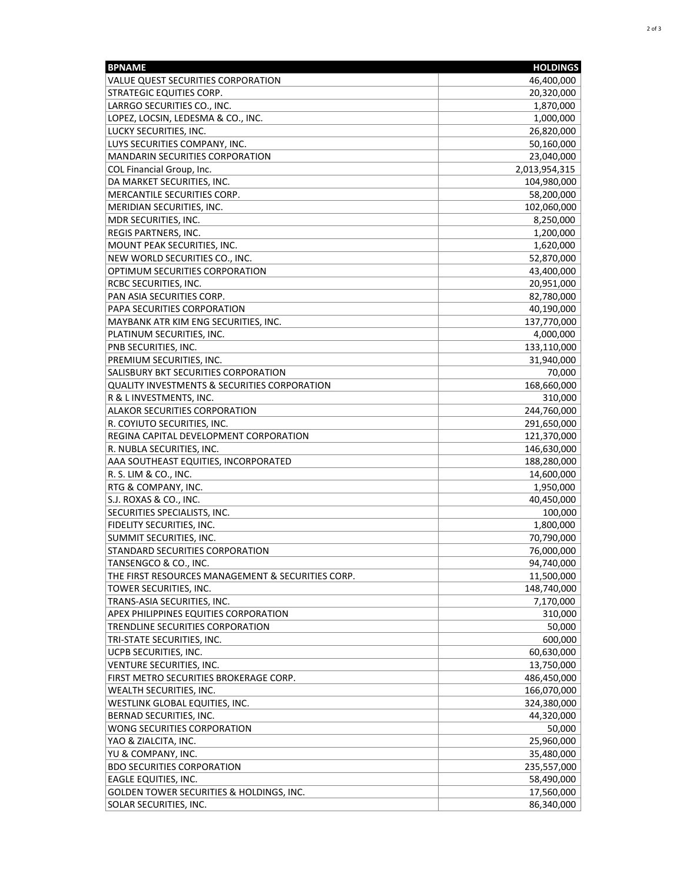| <b>BPNAME</b>                                           | <b>HOLDINGS</b> |
|---------------------------------------------------------|-----------------|
| VALUE QUEST SECURITIES CORPORATION                      | 46,400,000      |
| STRATEGIC EQUITIES CORP.                                | 20,320,000      |
| LARRGO SECURITIES CO., INC.                             | 1,870,000       |
| LOPEZ, LOCSIN, LEDESMA & CO., INC.                      | 1,000,000       |
| LUCKY SECURITIES, INC.                                  | 26,820,000      |
| LUYS SECURITIES COMPANY, INC.                           | 50,160,000      |
| <b>MANDARIN SECURITIES CORPORATION</b>                  | 23,040,000      |
| COL Financial Group, Inc.                               | 2,013,954,315   |
| DA MARKET SECURITIES, INC.                              | 104,980,000     |
| MERCANTILE SECURITIES CORP.                             | 58,200,000      |
| MERIDIAN SECURITIES, INC.                               | 102,060,000     |
| MDR SECURITIES, INC.                                    | 8,250,000       |
| REGIS PARTNERS, INC.                                    | 1,200,000       |
| MOUNT PEAK SECURITIES, INC.                             | 1,620,000       |
| NEW WORLD SECURITIES CO., INC.                          |                 |
| OPTIMUM SECURITIES CORPORATION                          | 52,870,000      |
|                                                         | 43,400,000      |
| RCBC SECURITIES, INC.                                   | 20,951,000      |
| PAN ASIA SECURITIES CORP.                               | 82,780,000      |
| PAPA SECURITIES CORPORATION                             | 40,190,000      |
| MAYBANK ATR KIM ENG SECURITIES, INC.                    | 137,770,000     |
| PLATINUM SECURITIES, INC.                               | 4,000,000       |
| PNB SECURITIES, INC.                                    | 133,110,000     |
| PREMIUM SECURITIES, INC.                                | 31,940,000      |
| SALISBURY BKT SECURITIES CORPORATION                    | 70,000          |
| <b>QUALITY INVESTMENTS &amp; SECURITIES CORPORATION</b> | 168,660,000     |
| R & L INVESTMENTS, INC.                                 | 310,000         |
| ALAKOR SECURITIES CORPORATION                           | 244,760,000     |
| R. COYIUTO SECURITIES, INC.                             | 291,650,000     |
| REGINA CAPITAL DEVELOPMENT CORPORATION                  | 121,370,000     |
| R. NUBLA SECURITIES, INC.                               | 146,630,000     |
| AAA SOUTHEAST EQUITIES, INCORPORATED                    | 188,280,000     |
| R. S. LIM & CO., INC.                                   | 14,600,000      |
| RTG & COMPANY, INC.                                     | 1,950,000       |
| S.J. ROXAS & CO., INC.                                  | 40,450,000      |
| SECURITIES SPECIALISTS, INC.                            | 100,000         |
| FIDELITY SECURITIES, INC.                               | 1,800,000       |
| SUMMIT SECURITIES, INC.                                 | 70,790,000      |
| STANDARD SECURITIES CORPORATION                         | 76,000,000      |
| TANSENGCO & CO., INC.                                   | 94,740,000      |
| THE FIRST RESOURCES MANAGEMENT & SECURITIES CORP.       | 11,500,000      |
| TOWER SECURITIES, INC.                                  | 148,740,000     |
| TRANS-ASIA SECURITIES, INC.                             | 7,170,000       |
| APEX PHILIPPINES EQUITIES CORPORATION                   | 310,000         |
| TRENDLINE SECURITIES CORPORATION                        | 50,000          |
| TRI-STATE SECURITIES, INC.                              | 600,000         |
| UCPB SECURITIES, INC.                                   | 60,630,000      |
| VENTURE SECURITIES, INC.                                | 13,750,000      |
| FIRST METRO SECURITIES BROKERAGE CORP.                  | 486,450,000     |
| WEALTH SECURITIES, INC.                                 | 166,070,000     |
| WESTLINK GLOBAL EQUITIES, INC.                          | 324,380,000     |
| BERNAD SECURITIES, INC.                                 | 44,320,000      |
| WONG SECURITIES CORPORATION                             | 50,000          |
| YAO & ZIALCITA, INC.                                    | 25,960,000      |
| YU & COMPANY, INC.                                      | 35,480,000      |
| <b>BDO SECURITIES CORPORATION</b>                       | 235,557,000     |
| EAGLE EQUITIES, INC.                                    | 58,490,000      |
| GOLDEN TOWER SECURITIES & HOLDINGS, INC.                | 17,560,000      |
| SOLAR SECURITIES, INC.                                  | 86,340,000      |
|                                                         |                 |